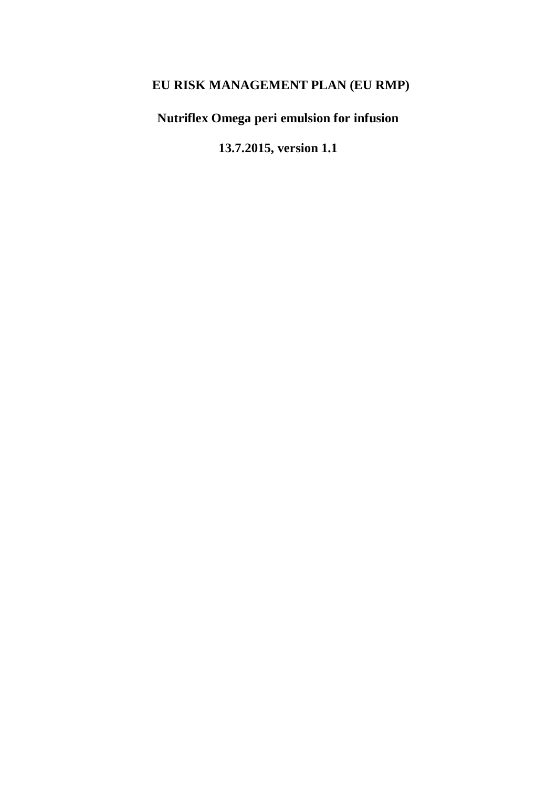# **EU RISK MANAGEMENT PLAN (EU RMP)**

**Nutriflex Omega peri emulsion for infusion**

**13.7.2015, version 1.1**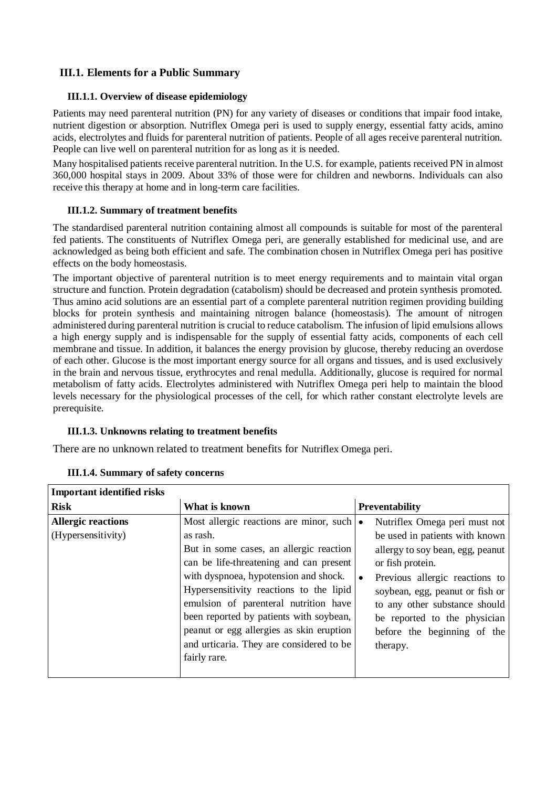# **III.1. Elements for a Public Summary**

#### **III.1.1. Overview of disease epidemiology**

Patients may need parenteral nutrition (PN) for any variety of diseases or conditions that impair food intake, nutrient digestion or absorption. Nutriflex Omega peri is used to supply energy, essential fatty acids, amino acids, electrolytes and fluids for parenteral nutrition of patients. People of all ages receive parenteral nutrition. People can live well on parenteral nutrition for as long as it is needed.

Many hospitalised patients receive parenteral nutrition. In the U.S. for example, patients received PN in almost 360,000 hospital stays in 2009. About 33% of those were for children and newborns. Individuals can also receive this therapy at home and in long-term care facilities.

#### **III.1.2. Summary of treatment benefits**

The standardised parenteral nutrition containing almost all compounds is suitable for most of the parenteral fed patients. The constituents of Nutriflex Omega peri, are generally established for medicinal use, and are acknowledged as being both efficient and safe. The combination chosen in Nutriflex Omega peri has positive effects on the body homeostasis.

The important objective of parenteral nutrition is to meet energy requirements and to maintain vital organ structure and function. Protein degradation (catabolism) should be decreased and protein synthesis promoted. Thus amino acid solutions are an essential part of a complete parenteral nutrition regimen providing building blocks for protein synthesis and maintaining nitrogen balance (homeostasis). The amount of nitrogen administered during parenteral nutrition is crucial to reduce catabolism. The infusion of lipid emulsions allows a high energy supply and is indispensable for the supply of essential fatty acids, components of each cell membrane and tissue. In addition, it balances the energy provision by glucose, thereby reducing an overdose of each other. Glucose is the most important energy source for all organs and tissues, and is used exclusively in the brain and nervous tissue, erythrocytes and renal medulla. Additionally, glucose is required for normal metabolism of fatty acids. Electrolytes administered with Nutriflex Omega peri help to maintain the blood levels necessary for the physiological processes of the cell, for which rather constant electrolyte levels are prerequisite.

## **III.1.3. Unknowns relating to treatment benefits**

There are no unknown related to treatment benefits for Nutriflex Omega peri.

| <b>Important identified risks</b>               |                                                                                                                                                                                                                                                                                                                                                                                                                                     |                                                                                                                                                                                                                                                                                                          |
|-------------------------------------------------|-------------------------------------------------------------------------------------------------------------------------------------------------------------------------------------------------------------------------------------------------------------------------------------------------------------------------------------------------------------------------------------------------------------------------------------|----------------------------------------------------------------------------------------------------------------------------------------------------------------------------------------------------------------------------------------------------------------------------------------------------------|
| <b>Risk</b>                                     | What is known                                                                                                                                                                                                                                                                                                                                                                                                                       | Preventability                                                                                                                                                                                                                                                                                           |
| <b>Allergic reactions</b><br>(Hypersensitivity) | Most allergic reactions are minor, such $\bullet$<br>as rash.<br>But in some cases, an allergic reaction<br>can be life-threatening and can present<br>with dyspnoea, hypotension and shock.<br>Hypersensitivity reactions to the lipid<br>emulsion of parenteral nutrition have<br>been reported by patients with soybean,<br>peanut or egg allergies as skin eruption<br>and urticaria. They are considered to be<br>fairly rare. | Nutriflex Omega peri must not<br>be used in patients with known<br>allergy to soy bean, egg, peanut<br>or fish protein.<br>Previous allergic reactions to<br>soybean, egg, peanut or fish or<br>to any other substance should<br>be reported to the physician<br>before the beginning of the<br>therapy. |

| <b>III.1.4. Summary of safety concerns</b> |  |  |
|--------------------------------------------|--|--|
|--------------------------------------------|--|--|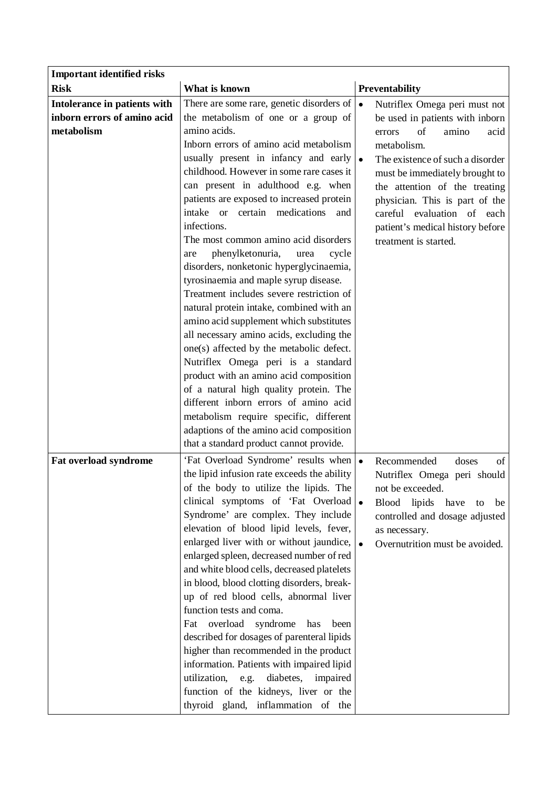| <b>Important identified risks</b> |                                               |           |                                  |
|-----------------------------------|-----------------------------------------------|-----------|----------------------------------|
| <b>Risk</b>                       | What is known                                 |           | Preventability                   |
| Intolerance in patients with      | There are some rare, genetic disorders of     | $\bullet$ | Nutriflex Omega peri must not    |
| inborn errors of amino acid       | the metabolism of one or a group of           |           | be used in patients with inborn  |
| metabolism                        | amino acids.                                  |           | of<br>amino<br>errors<br>acid    |
|                                   | Inborn errors of amino acid metabolism        |           | metabolism.                      |
|                                   | usually present in infancy and early          | $\bullet$ | The existence of such a disorder |
|                                   | childhood. However in some rare cases it      |           | must be immediately brought to   |
|                                   | can present in adulthood e.g. when            |           | the attention of the treating    |
|                                   | patients are exposed to increased protein     |           | physician. This is part of the   |
|                                   | certain medications<br>intake or<br>and       |           | careful evaluation of each       |
|                                   | infections.                                   |           | patient's medical history before |
|                                   | The most common amino acid disorders          |           | treatment is started.            |
|                                   | phenylketonuria,<br>cycle<br>urea<br>are      |           |                                  |
|                                   | disorders, nonketonic hyperglycinaemia,       |           |                                  |
|                                   | tyrosinaemia and maple syrup disease.         |           |                                  |
|                                   | Treatment includes severe restriction of      |           |                                  |
|                                   | natural protein intake, combined with an      |           |                                  |
|                                   | amino acid supplement which substitutes       |           |                                  |
|                                   | all necessary amino acids, excluding the      |           |                                  |
|                                   | one(s) affected by the metabolic defect.      |           |                                  |
|                                   | Nutriflex Omega peri is a standard            |           |                                  |
|                                   | product with an amino acid composition        |           |                                  |
|                                   | of a natural high quality protein. The        |           |                                  |
|                                   | different inborn errors of amino acid         |           |                                  |
|                                   | metabolism require specific, different        |           |                                  |
|                                   | adaptions of the amino acid composition       |           |                                  |
|                                   | that a standard product cannot provide.       |           |                                  |
| Fat overload syndrome             | 'Fat Overload Syndrome' results when          | $\bullet$ | Recommended<br>doses<br>of       |
|                                   | the lipid infusion rate exceeds the ability   |           | Nutriflex Omega peri should      |
|                                   | of the body to utilize the lipids. The        |           | not be exceeded.                 |
|                                   | clinical symptoms of 'Fat Overload            |           | Blood lipids have<br>be<br>to    |
|                                   | Syndrome' are complex. They include           |           | controlled and dosage adjusted   |
|                                   | elevation of blood lipid levels, fever,       |           | as necessary.                    |
|                                   | enlarged liver with or without jaundice,      |           | Overnutrition must be avoided.   |
|                                   | enlarged spleen, decreased number of red      |           |                                  |
|                                   | and white blood cells, decreased platelets    |           |                                  |
|                                   | in blood, blood clotting disorders, break-    |           |                                  |
|                                   | up of red blood cells, abnormal liver         |           |                                  |
|                                   | function tests and coma.                      |           |                                  |
|                                   | overload<br>syndrome<br>has<br>Fat<br>been    |           |                                  |
|                                   | described for dosages of parenteral lipids    |           |                                  |
|                                   | higher than recommended in the product        |           |                                  |
|                                   | information. Patients with impaired lipid     |           |                                  |
|                                   | utilization,<br>diabetes,<br>impaired<br>e.g. |           |                                  |
|                                   | function of the kidneys, liver or the         |           |                                  |
|                                   | thyroid gland, inflammation of the            |           |                                  |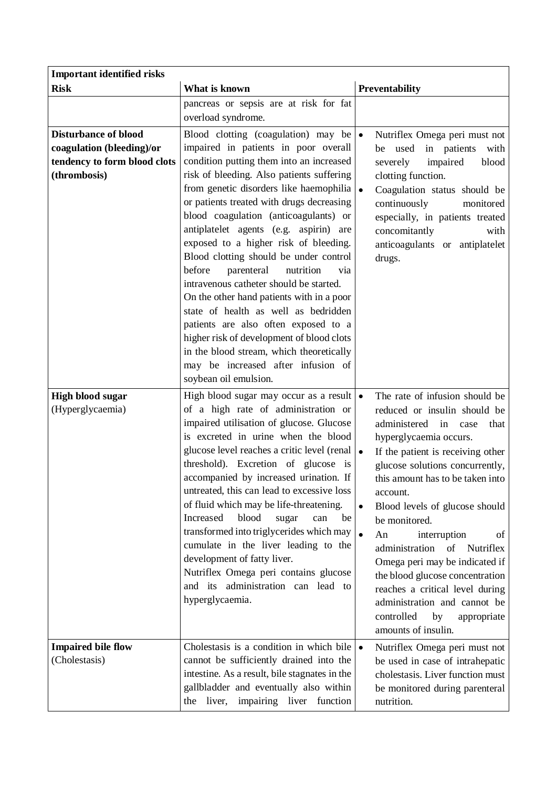| <b>Important identified risks</b>                                                                        |                                                                                                                                                                                                                                                                                                                                                                                                                                                                                                                                                                                                                                                                                                                                                                                                                |                                                                                                                                                                                                                                                                                                                                                                                                                                                                                                                                                                                                     |
|----------------------------------------------------------------------------------------------------------|----------------------------------------------------------------------------------------------------------------------------------------------------------------------------------------------------------------------------------------------------------------------------------------------------------------------------------------------------------------------------------------------------------------------------------------------------------------------------------------------------------------------------------------------------------------------------------------------------------------------------------------------------------------------------------------------------------------------------------------------------------------------------------------------------------------|-----------------------------------------------------------------------------------------------------------------------------------------------------------------------------------------------------------------------------------------------------------------------------------------------------------------------------------------------------------------------------------------------------------------------------------------------------------------------------------------------------------------------------------------------------------------------------------------------------|
| <b>Risk</b>                                                                                              | What is known                                                                                                                                                                                                                                                                                                                                                                                                                                                                                                                                                                                                                                                                                                                                                                                                  | Preventability                                                                                                                                                                                                                                                                                                                                                                                                                                                                                                                                                                                      |
|                                                                                                          | pancreas or sepsis are at risk for fat<br>overload syndrome.                                                                                                                                                                                                                                                                                                                                                                                                                                                                                                                                                                                                                                                                                                                                                   |                                                                                                                                                                                                                                                                                                                                                                                                                                                                                                                                                                                                     |
| <b>Disturbance of blood</b><br>coagulation (bleeding)/or<br>tendency to form blood clots<br>(thrombosis) | Blood clotting (coagulation) may be<br>impaired in patients in poor overall<br>condition putting them into an increased<br>risk of bleeding. Also patients suffering<br>from genetic disorders like haemophilia<br>or patients treated with drugs decreasing<br>blood coagulation (anticoagulants) or<br>antiplatelet agents (e.g. aspirin) are<br>exposed to a higher risk of bleeding.<br>Blood clotting should be under control<br>before<br>parenteral<br>nutrition<br>via<br>intravenous catheter should be started.<br>On the other hand patients with in a poor<br>state of health as well as bedridden<br>patients are also often exposed to a<br>higher risk of development of blood clots<br>in the blood stream, which theoretically<br>may be increased after infusion of<br>soybean oil emulsion. | $\bullet$<br>Nutriflex Omega peri must not<br>used<br>in patients<br>with<br>be<br>impaired<br>severely<br>blood<br>clotting function.<br>Coagulation status should be<br>continuously<br>monitored<br>especially, in patients treated<br>concomitantly<br>with<br>anticoagulants or antiplatelet<br>drugs.                                                                                                                                                                                                                                                                                         |
| <b>High blood sugar</b><br>(Hyperglycaemia)                                                              | High blood sugar may occur as a result $\bullet$<br>of a high rate of administration or<br>impaired utilisation of glucose. Glucose<br>is excreted in urine when the blood<br>glucose level reaches a critic level (renal $\cdot$<br>threshold). Excretion of glucose is<br>accompanied by increased urination. If<br>untreated, this can lead to excessive loss<br>of fluid which may be life-threatening.<br>blood<br>Increased<br>sugar<br>can<br>be<br>transformed into triglycerides which may<br>cumulate in the liver leading to the<br>development of fatty liver.<br>Nutriflex Omega peri contains glucose<br>and its administration can lead to<br>hyperglycaemia.                                                                                                                                   | The rate of infusion should be<br>reduced or insulin should be<br>administered<br>in<br>case<br>that<br>hyperglycaemia occurs.<br>If the patient is receiving other<br>glucose solutions concurrently,<br>this amount has to be taken into<br>account.<br>Blood levels of glucose should<br>$\bullet$<br>be monitored.<br>$\bullet$<br>An<br>interruption<br>of<br>administration<br>of Nutriflex<br>Omega peri may be indicated if<br>the blood glucose concentration<br>reaches a critical level during<br>administration and cannot be<br>controlled<br>by<br>appropriate<br>amounts of insulin. |
| <b>Impaired bile flow</b><br>(Cholestasis)                                                               | Cholestasis is a condition in which bile<br>cannot be sufficiently drained into the<br>intestine. As a result, bile stagnates in the<br>gallbladder and eventually also within<br>impairing liver function<br>liver,<br>the                                                                                                                                                                                                                                                                                                                                                                                                                                                                                                                                                                                    | $\bullet$<br>Nutriflex Omega peri must not<br>be used in case of intrahepatic<br>cholestasis. Liver function must<br>be monitored during parenteral<br>nutrition.                                                                                                                                                                                                                                                                                                                                                                                                                                   |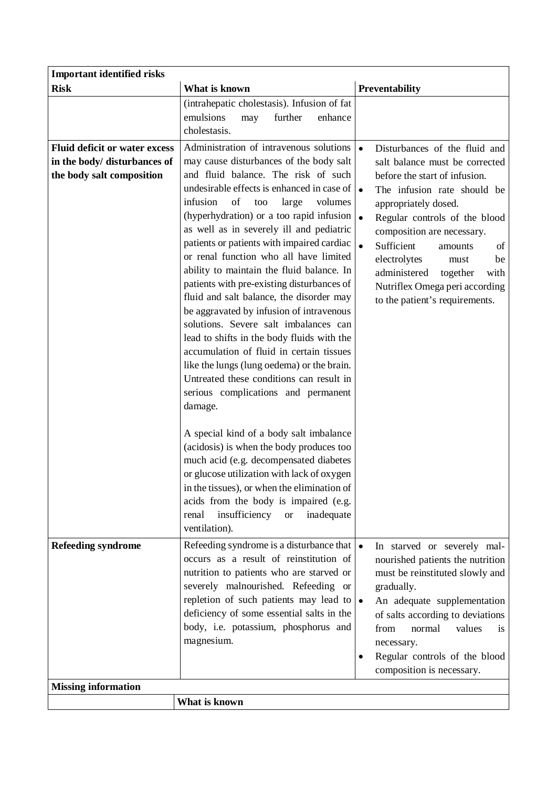| <b>Important identified risks</b>                                                                 |                                                                                                                                                                                                                                                                                                                                                                                                                                                                                                                                                                                                                                                                                                                                                                                                                                                                                                                                                                                                                                                                                                                                                                                                                       |                                                                                                                                                                                                                                                                                                                                                                                                                                    |  |
|---------------------------------------------------------------------------------------------------|-----------------------------------------------------------------------------------------------------------------------------------------------------------------------------------------------------------------------------------------------------------------------------------------------------------------------------------------------------------------------------------------------------------------------------------------------------------------------------------------------------------------------------------------------------------------------------------------------------------------------------------------------------------------------------------------------------------------------------------------------------------------------------------------------------------------------------------------------------------------------------------------------------------------------------------------------------------------------------------------------------------------------------------------------------------------------------------------------------------------------------------------------------------------------------------------------------------------------|------------------------------------------------------------------------------------------------------------------------------------------------------------------------------------------------------------------------------------------------------------------------------------------------------------------------------------------------------------------------------------------------------------------------------------|--|
| <b>Risk</b>                                                                                       | What is known                                                                                                                                                                                                                                                                                                                                                                                                                                                                                                                                                                                                                                                                                                                                                                                                                                                                                                                                                                                                                                                                                                                                                                                                         | Preventability                                                                                                                                                                                                                                                                                                                                                                                                                     |  |
|                                                                                                   | (intrahepatic cholestasis). Infusion of fat<br>emulsions<br>further<br>enhance<br>may<br>cholestasis.                                                                                                                                                                                                                                                                                                                                                                                                                                                                                                                                                                                                                                                                                                                                                                                                                                                                                                                                                                                                                                                                                                                 |                                                                                                                                                                                                                                                                                                                                                                                                                                    |  |
| <b>Fluid deficit or water excess</b><br>in the body/ disturbances of<br>the body salt composition | Administration of intravenous solutions<br>may cause disturbances of the body salt<br>and fluid balance. The risk of such<br>undesirable effects is enhanced in case of<br>infusion<br>of<br>large<br>too<br>volumes<br>(hyperhydration) or a too rapid infusion<br>as well as in severely ill and pediatric<br>patients or patients with impaired cardiac<br>or renal function who all have limited<br>ability to maintain the fluid balance. In<br>patients with pre-existing disturbances of<br>fluid and salt balance, the disorder may<br>be aggravated by infusion of intravenous<br>solutions. Severe salt imbalances can<br>lead to shifts in the body fluids with the<br>accumulation of fluid in certain tissues<br>like the lungs (lung oedema) or the brain.<br>Untreated these conditions can result in<br>serious complications and permanent<br>damage.<br>A special kind of a body salt imbalance<br>(acidosis) is when the body produces too<br>much acid (e.g. decompensated diabetes<br>or glucose utilization with lack of oxygen<br>in the tissues), or when the elimination of<br>acids from the body is impaired (e.g.<br>insufficiency<br>inadequate<br>renal<br>$\hbox{or}$<br>ventilation). | Disturbances of the fluid and<br>$\bullet$<br>salt balance must be corrected<br>before the start of infusion.<br>The infusion rate should be<br>appropriately dosed.<br>$\bullet$<br>Regular controls of the blood<br>composition are necessary.<br>$\bullet$<br>Sufficient<br>of<br>amounts<br>electrolytes<br>be<br>must<br>administered<br>together<br>with<br>Nutriflex Omega peri according<br>to the patient's requirements. |  |
| <b>Refeeding syndrome</b>                                                                         | Refeeding syndrome is a disturbance that $\bullet$<br>occurs as a result of reinstitution of                                                                                                                                                                                                                                                                                                                                                                                                                                                                                                                                                                                                                                                                                                                                                                                                                                                                                                                                                                                                                                                                                                                          | In starved or severely mal-<br>nourished patients the nutrition                                                                                                                                                                                                                                                                                                                                                                    |  |
|                                                                                                   | nutrition to patients who are starved or<br>severely malnourished. Refeeding or<br>repletion of such patients may lead to $\bullet$                                                                                                                                                                                                                                                                                                                                                                                                                                                                                                                                                                                                                                                                                                                                                                                                                                                                                                                                                                                                                                                                                   | must be reinstituted slowly and<br>gradually.<br>An adequate supplementation                                                                                                                                                                                                                                                                                                                                                       |  |
|                                                                                                   | deficiency of some essential salts in the<br>body, i.e. potassium, phosphorus and<br>magnesium.                                                                                                                                                                                                                                                                                                                                                                                                                                                                                                                                                                                                                                                                                                                                                                                                                                                                                                                                                                                                                                                                                                                       | of salts according to deviations<br>from<br>normal<br>values<br><b>1S</b><br>necessary.<br>Regular controls of the blood<br>composition is necessary.                                                                                                                                                                                                                                                                              |  |
| <b>Missing information</b>                                                                        |                                                                                                                                                                                                                                                                                                                                                                                                                                                                                                                                                                                                                                                                                                                                                                                                                                                                                                                                                                                                                                                                                                                                                                                                                       |                                                                                                                                                                                                                                                                                                                                                                                                                                    |  |
|                                                                                                   | What is known                                                                                                                                                                                                                                                                                                                                                                                                                                                                                                                                                                                                                                                                                                                                                                                                                                                                                                                                                                                                                                                                                                                                                                                                         |                                                                                                                                                                                                                                                                                                                                                                                                                                    |  |